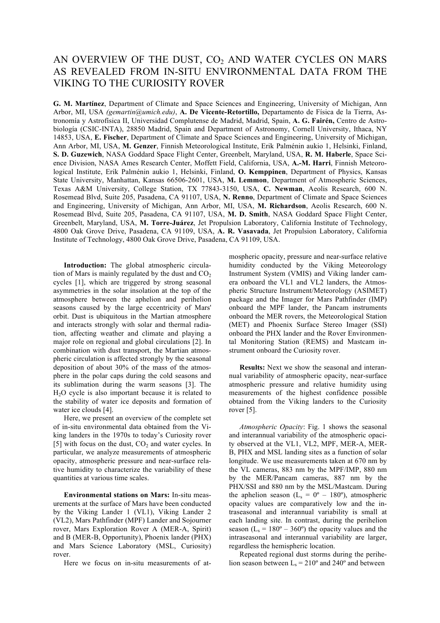## AN OVERVIEW OF THE DUST,  $CO<sub>2</sub>$  AND WATER CYCLES ON MARS AS REVEALED FROM IN-SITU ENVIRONMENTAL DATA FROM THE VIKING TO THE CURIOSITY ROVER

**G. M. Martínez**, Department of Climate and Space Sciences and Engineering, University of Michigan, Ann Arbor, MI, USA *(gemartin@umich.edu)*, **A. De Vicente-Retortillo,** Departamento de Física de la Tierra, Astronomía y Astrofísica II, Universidad Complutense de Madrid, Madrid, Spain, **A. G. Fairén,** Centro de Astrobiología (CSIC-INTA), 28850 Madrid, Spain and Department of Astronomy, Cornell University, Ithaca, NY 14853, USA, **E. Fischer**, Department of Climate and Space Sciences and Engineering, University of Michigan, Ann Arbor, MI, USA, **M. Genzer**, Finnish Meteorological Institute, Erik Palménin aukio 1, Helsinki, Finland, **S. D. Guzewich**, NASA Goddard Space Flight Center, Greenbelt, Maryland, USA, **R. M. Haberle**, Space Science Division, NASA Ames Research Center, Moffett Field, California, USA, **A.-M. Harri**, Finnish Meteorological Institute, Erik Palménin aukio 1, Helsinki, Finland, **O. Kemppinen**, Department of Physics, Kansas State University, Manhattan, Kansas 66506-2601, USA, **M. Lemmon**, Department of Atmospheric Sciences, Texas A&M University, College Station, TX 77843-3150, USA, **C. Newman**, Aeolis Research, 600 N. Rosemead Blvd, Suite 205, Pasadena, CA 91107, USA, **N. Renno**, Department of Climate and Space Sciences and Engineering, University of Michigan, Ann Arbor, MI, USA, **M. Richardson**, Aeolis Research, 600 N. Rosemead Blvd, Suite 205, Pasadena, CA 91107, USA, **M. D. Smith**, NASA Goddard Space Flight Center, Greenbelt, Maryland, USA, **M. Torre-Juárez**, Jet Propulsion Laboratory, California Institute of Technology, 4800 Oak Grove Drive, Pasadena, CA 91109, USA, **A. R. Vasavada**, Jet Propulsion Laboratory, California Institute of Technology, 4800 Oak Grove Drive, Pasadena, CA 91109, USA.

**Introduction:** The global atmospheric circulation of Mars is mainly regulated by the dust and  $CO<sub>2</sub>$ cycles [1], which are triggered by strong seasonal asymmetries in the solar insolation at the top of the atmosphere between the aphelion and perihelion seasons caused by the large eccentricity of Mars' orbit. Dust is ubiquitous in the Martian atmosphere and interacts strongly with solar and thermal radiation, affecting weather and climate and playing a major role on regional and global circulations [2]. In combination with dust transport, the Martian atmospheric circulation is affected strongly by the seasonal deposition of about 30% of the mass of the atmosphere in the polar caps during the cold seasons and its sublimation during the warm seasons [3]. The H2O cycle is also important because it is related to the stability of water ice deposits and formation of water ice clouds [4].

Here, we present an overview of the complete set of in-situ environmental data obtained from the Viking landers in the 1970s to today's Curiosity rover [5] with focus on the dust,  $CO<sub>2</sub>$  and water cycles. In particular, we analyze measurements of atmospheric opacity, atmospheric pressure and near-surface relative humidity to characterize the variability of these quantities at various time scales.

**Environmental stations on Mars:** In-situ measurements at the surface of Mars have been conducted by the Viking Lander 1 (VL1), Viking Lander 2 (VL2), Mars Pathfinder (MPF) Lander and Sojourner rover, Mars Exploration Rover A (MER-A, Spirit) and B (MER-B, Opportunity), Phoenix lander (PHX) and Mars Science Laboratory (MSL, Curiosity) rover.

Here we focus on in-situ measurements of at-

mospheric opacity, pressure and near-surface relative humidity conducted by the Viking Meteorology Instrument System (VMIS) and Viking lander camera onboard the VL1 and VL2 landers, the Atmospheric Structure Instrument/Meteorology (ASIMET) package and the Imager for Mars Pathfinder (IMP) onboard the MPF lander, the Pancam instruments onboard the MER rovers, the Meteorological Station (MET) and Phoenix Surface Stereo Imager (SSI) onboard the PHX lander and the Rover Environmental Monitoring Station (REMS) and Mastcam instrument onboard the Curiosity rover.

**Results:** Next we show the seasonal and interannual variability of atmospheric opacity, near-surface atmospheric pressure and relative humidity using measurements of the highest confidence possible obtained from the Viking landers to the Curiosity rover [5].

*Atmospheric Opacity*: Fig. 1 shows the seasonal and interannual variability of the atmospheric opacity observed at the VL1, VL2, MPF, MER-A, MER-B, PHX and MSL landing sites as a function of solar longitude. We use measurements taken at 670 nm by the VL cameras, 883 nm by the MPF/IMP, 880 nm by the MER/Pancam cameras, 887 nm by the PHX/SSI and 880 nm by the MSL/Mastcam. During the aphelion season ( $L_s = 0^\circ - 180^\circ$ ), atmospheric opacity values are comparatively low and the intraseasonal and interannual variability is small at each landing site. In contrast, during the perihelion season ( $L_s = 180^\circ - 360^\circ$ ) the opacity values and the intraseasonal and interannual variability are larger, regardless the hemispheric location.

Repeated regional dust storms during the perihelion season between  $L_s = 210^\circ$  and 240° and between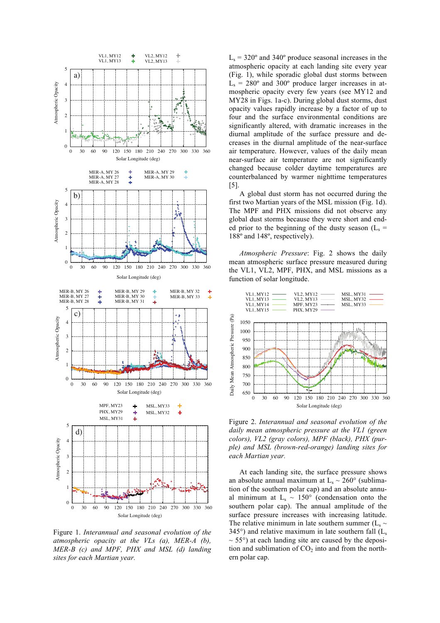

Figure 1. *Interannual and seasonal evolution of the atmospheric opacity at the VLs (a), MER-A (b), MER-B (c) and MPF, PHX and MSL (d) landing sites for each Martian year.*

 $L<sub>s</sub>$  = 320 $\degree$  and 340 $\degree$  produce seasonal increases in the atmospheric opacity at each landing site every year (Fig. 1), while sporadic global dust storms between  $L<sub>s</sub> = 280<sup>o</sup>$  and 300<sup>°</sup> produce larger increases in atmospheric opacity every few years (see MY12 and MY28 in Figs. 1a-c). During global dust storms, dust opacity values rapidly increase by a factor of up to four and the surface environmental conditions are significantly altered, with dramatic increases in the diurnal amplitude of the surface pressure and decreases in the diurnal amplitude of the near-surface air temperature. However, values of the daily mean near-surface air temperature are not significantly changed because colder daytime temperatures are counterbalanced by warmer nighttime temperatures [5].

A global dust storm has not occurred during the first two Martian years of the MSL mission (Fig. 1d). The MPF and PHX missions did not observe any global dust storms because they were short and ended prior to the beginning of the dusty season  $(L_s =$ 188º and 148º, respectively).

*Atmospheric Pressure*: Fig. 2 shows the daily mean atmospheric surface pressure measured during the VL1, VL2, MPF, PHX, and MSL missions as a function of solar longitude.



Figure 2. *Interannual and seasonal evolution of the daily mean atmospheric pressure at the VL1 (green colors), VL2 (gray colors), MPF (black), PHX (purple) and MSL (brown-red-orange) landing sites for each Martian year.*

At each landing site, the surface pressure shows an absolute annual maximum at  $L_s \sim 260^\circ$  (sublimation of the southern polar cap) and an absolute annual minimum at  $L_s \sim 150^\circ$  (condensation onto the southern polar cap). The annual amplitude of the surface pressure increases with increasing latitude. The relative minimum in late southern summer  $(L_s \sim$  $345^{\circ}$ ) and relative maximum in late southern fall (L.  $\sim$  55 $\degree$ ) at each landing site are caused by the deposition and sublimation of  $CO<sub>2</sub>$  into and from the northern polar cap.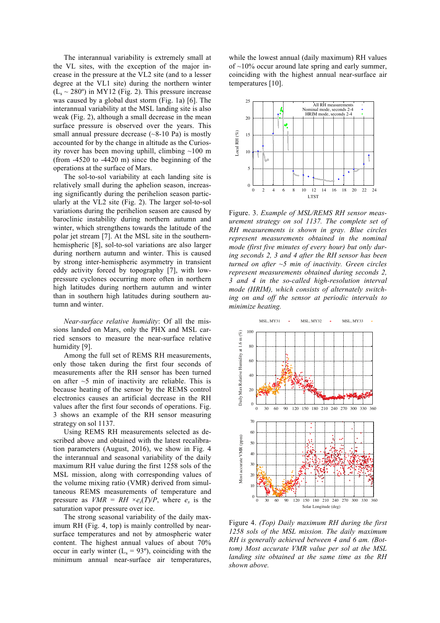The interannual variability is extremely small at the VL sites, with the exception of the major increase in the pressure at the VL2 site (and to a lesser degree at the VL1 site) during the northern winter  $(L<sub>s</sub> \sim 280°)$  in MY12 (Fig. 2). This pressure increase was caused by a global dust storm (Fig. 1a) [6]. The interannual variability at the MSL landing site is also weak (Fig. 2), although a small decrease in the mean surface pressure is observed over the years. This small annual pressure decrease  $(\sim 8-10 \text{ Pa})$  is mostly accounted for by the change in altitude as the Curiosity rover has been moving uphill, climbing  $\sim$ 100 m (from -4520 to -4420 m) since the beginning of the operations at the surface of Mars.

The sol-to-sol variability at each landing site is relatively small during the aphelion season, increasing significantly during the perihelion season particularly at the VL2 site (Fig. 2). The larger sol-to-sol variations during the perihelion season are caused by baroclinic instability during northern autumn and winter, which strengthens towards the latitude of the polar jet stream [7]. At the MSL site in the southernhemispheric [8], sol-to-sol variations are also larger during northern autumn and winter. This is caused by strong inter-hemispheric asymmetry in transient eddy activity forced by topography [7], with lowpressure cyclones occurring more often in northern high latitudes during northern autumn and winter than in southern high latitudes during southern autumn and winter.

*Near-surface relative humidity*: Of all the missions landed on Mars, only the PHX and MSL carried sensors to measure the near-surface relative humidity [9].

Among the full set of REMS RH measurements, only those taken during the first four seconds of measurements after the RH sensor has been turned on after  $\sim$ 5 min of inactivity are reliable. This is because heating of the sensor by the REMS control electronics causes an artificial decrease in the RH values after the first four seconds of operations. Fig. 3 shows an example of the RH sensor measuring strategy on sol 1137.

Using REMS RH measurements selected as described above and obtained with the latest recalibration parameters (August, 2016), we show in Fig. 4 the interannual and seasonal variability of the daily maximum RH value during the first 1258 sols of the MSL mission, along with corresponding values of the volume mixing ratio (VMR) derived from simultaneous REMS measurements of temperature and pressure as *VMR* = *RH*  $\times e_s(T)/P$ , where  $e_s$  is the saturation vapor pressure over ice.

The strong seasonal variability of the daily maximum RH (Fig. 4, top) is mainly controlled by nearsurface temperatures and not by atmospheric water content. The highest annual values of about 70% occur in early winter  $(L<sub>s</sub> = 93<sup>o</sup>)$ , coinciding with the minimum annual near-surface air temperatures, while the lowest annual (daily maximum) RH values of  $\sim$ 10% occur around late spring and early summer, coinciding with the highest annual near-surface air temperatures [10].



Figure. 3. *Example of MSL/REMS RH sensor measurement strategy on sol 1137. The complete set of RH measurements is shown in gray. Blue circles represent measurements obtained in the nominal mode (first five minutes of every hour) but only during seconds 2, 3 and 4 after the RH sensor has been turned on after ~5 min of inactivity. Green circles represent measurements obtained during seconds 2, 3 and 4 in the so-called high-resolution interval mode (HRIM), which consists of alternately switching on and off the sensor at periodic intervals to minimize heating.*



Figure 4. *(Top) Daily maximum RH during the first 1258 sols of the MSL mission. The daily maximum RH is generally achieved between 4 and 6 am. (Bottom) Most accurate VMR value per sol at the MSL landing site obtained at the same time as the RH shown above.*